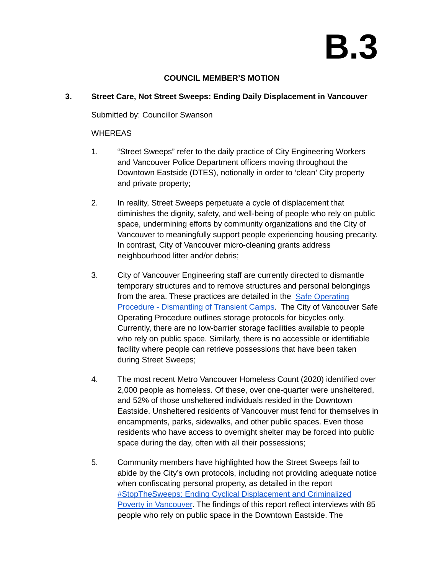# **B.3**

### **COUNCIL MEMBER'S MOTION**

## **3. Street Care, Not Street Sweeps: Ending Daily Displacement in Vancouver**

Submitted by: Councillor Swanson

#### **WHEREAS**

- 1. "Street Sweeps" refer to the daily practice of City Engineering Workers and Vancouver Police Department officers moving throughout the Downtown Eastside (DTES), notionally in order to 'clean' City property and private property;
- 2. In reality, Street Sweeps perpetuate a cycle of displacement that diminishes the dignity, safety, and well-being of people who rely on public space, undermining efforts by community organizations and the City of Vancouver to meaningfully support people experiencing housing precarity. In contrast, City of Vancouver micro-cleaning grants address neighbourhood litter and/or debris;
- 3. City of Vancouver Engineering staff are currently directed to dismantle temporary structures and to remove structures and personal belongings from the area. These practices are detailed in the [Safe Operating](https://vancouver.ca/files/cov/2017-504-release.pdf)  [Procedure - Dismantling of Transient Camps.](https://vancouver.ca/files/cov/2017-504-release.pdf) The City of Vancouver Safe Operating Procedure outlines storage protocols for bicycles only. Currently, there are no low-barrier storage facilities available to people who rely on public space. Similarly, there is no accessible or identifiable facility where people can retrieve possessions that have been taken during Street Sweeps;
- 4. The most recent Metro Vancouver Homeless Count (2020) identified over 2,000 people as homeless. Of these, over one-quarter were unsheltered, and 52% of those unsheltered individuals resided in the Downtown Eastside. Unsheltered residents of Vancouver must fend for themselves in encampments, parks, sidewalks, and other public spaces. Even those residents who have access to overnight shelter may be forced into public space during the day, often with all their possessions;
- 5. Community members have highlighted how the Street Sweeps fail to abide by the City's own protocols, including not providing adequate notice when confiscating personal property, as detailed in the report [#StopTheSweeps: Ending Cyclical Displacement and Criminalized](https://stopthesweeps.ca/wp-content/uploads/2022/05/2022%20Street%20Sweeps%20Report%20Final%20Web.pdf)  [Poverty in Vancouver.](https://stopthesweeps.ca/wp-content/uploads/2022/05/2022%20Street%20Sweeps%20Report%20Final%20Web.pdf) The findings of this report reflect interviews with 85 people who rely on public space in the Downtown Eastside. The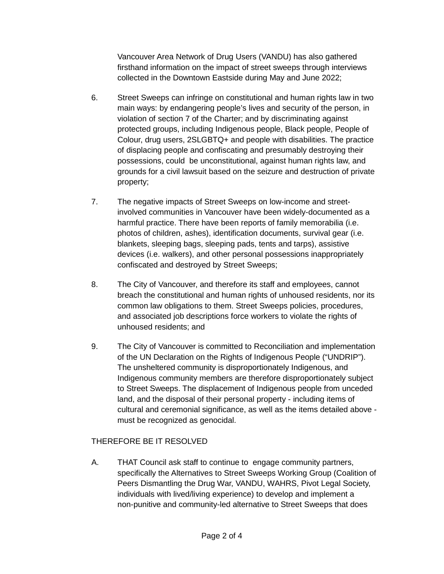Vancouver Area Network of Drug Users (VANDU) has also gathered firsthand information on the impact of street sweeps through interviews collected in the Downtown Eastside during May and June 2022;

- 6. Street Sweeps can infringe on constitutional and human rights law in two main ways: by endangering people's lives and security of the person, in violation of section 7 of the Charter; and by discriminating against protected groups, including Indigenous people, Black people, People of Colour, drug users, 2SLGBTQ+ and people with disabilities. The practice of displacing people and confiscating and presumably destroying their possessions, could be unconstitutional, against human rights law, and grounds for a civil lawsuit based on the seizure and destruction of private property;
- 7. The negative impacts of Street Sweeps on low-income and streetinvolved communities in Vancouver have been widely-documented as a harmful practice. There have been reports of family memorabilia (i.e. photos of children, ashes), identification documents, survival gear (i.e. blankets, sleeping bags, sleeping pads, tents and tarps), assistive devices (i.e. walkers), and other personal possessions inappropriately confiscated and destroyed by Street Sweeps;
- 8. The City of Vancouver, and therefore its staff and employees, cannot breach the constitutional and human rights of unhoused residents, nor its common law obligations to them. Street Sweeps policies, procedures, and associated job descriptions force workers to violate the rights of unhoused residents; and
- 9. The City of Vancouver is committed to Reconciliation and implementation of the UN Declaration on the Rights of Indigenous People ("UNDRIP"). The unsheltered community is disproportionately Indigenous, and Indigenous community members are therefore disproportionately subject to Street Sweeps. The displacement of Indigenous people from unceded land, and the disposal of their personal property - including items of cultural and ceremonial significance, as well as the items detailed above must be recognized as genocidal.

# THEREFORE BE IT RESOLVED

A. THAT Council ask staff to continue to engage community partners, specifically the Alternatives to Street Sweeps Working Group (Coalition of Peers Dismantling the Drug War, VANDU, WAHRS, Pivot Legal Society, individuals with lived/living experience) to develop and implement a non-punitive and community-led alternative to Street Sweeps that does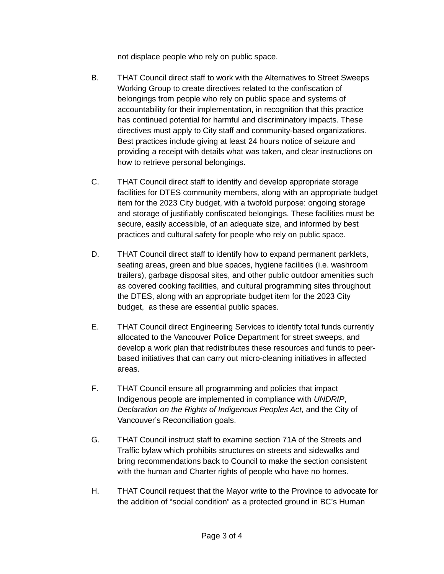not displace people who rely on public space.

- B. THAT Council direct staff to work with the Alternatives to Street Sweeps Working Group to create directives related to the confiscation of belongings from people who rely on public space and systems of accountability for their implementation, in recognition that this practice has continued potential for harmful and discriminatory impacts. These directives must apply to City staff and community-based organizations. Best practices include giving at least 24 hours notice of seizure and providing a receipt with details what was taken, and clear instructions on how to retrieve personal belongings.
- C. THAT Council direct staff to identify and develop appropriate storage facilities for DTES community members, along with an appropriate budget item for the 2023 City budget, with a twofold purpose: ongoing storage and storage of justifiably confiscated belongings. These facilities must be secure, easily accessible, of an adequate size, and informed by best practices and cultural safety for people who rely on public space.
- D. THAT Council direct staff to identify how to expand permanent parklets, seating areas, green and blue spaces, hygiene facilities (i.e. washroom trailers), garbage disposal sites, and other public outdoor amenities such as covered cooking facilities, and cultural programming sites throughout the DTES, along with an appropriate budget item for the 2023 City budget, as these are essential public spaces.
- E. THAT Council direct Engineering Services to identify total funds currently allocated to the Vancouver Police Department for street sweeps, and develop a work plan that redistributes these resources and funds to peerbased initiatives that can carry out micro-cleaning initiatives in affected areas.
- F. THAT Council ensure all programming and policies that impact Indigenous people are implemented in compliance with *UNDRIP*, *Declaration on the Rights of Indigenous Peoples Act,* and the City of Vancouver's Reconciliation goals.
- G. THAT Council instruct staff to examine section 71A of the Streets and Traffic bylaw which prohibits structures on streets and sidewalks and bring recommendations back to Council to make the section consistent with the human and Charter rights of people who have no homes.
- H. THAT Council request that the Mayor write to the Province to advocate for the addition of "social condition" as a protected ground in BC's Human